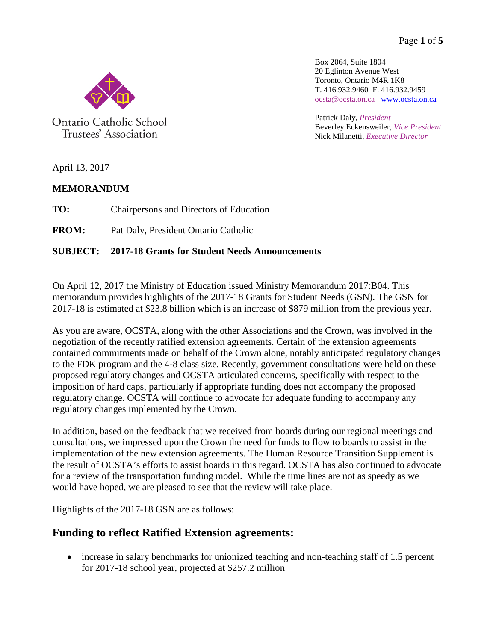Page **1** of **5**

Box 2064, Suite 1804 20 Eglinton Avenue West Toronto, Ontario M4R 1K8 T. 416.932.9460 F. 416.932.9459 ocsta@ocsta.on.ca [www.ocsta.on.ca](http://www.ocsta.on.ca/)

Patrick Daly, *President* Beverley Eckensweiler, *Vice President* Nick Milanetti, *Executive Director*

Ontario Catholic School

Trustees' Association

April 13, 2017

## **MEMORANDUM**

**TO:** Chairpersons and Directors of Education

**FROM:** Pat Daly, President Ontario Catholic

## **SUBJECT: 2017-18 Grants for Student Needs Announcements**

On April 12, 2017 the Ministry of Education issued Ministry Memorandum 2017:B04. This memorandum provides highlights of the 2017-18 Grants for Student Needs (GSN). The GSN for 2017-18 is estimated at \$23.8 billion which is an increase of \$879 million from the previous year.

As you are aware, OCSTA, along with the other Associations and the Crown, was involved in the negotiation of the recently ratified extension agreements. Certain of the extension agreements contained commitments made on behalf of the Crown alone, notably anticipated regulatory changes to the FDK program and the 4-8 class size. Recently, government consultations were held on these proposed regulatory changes and OCSTA articulated concerns, specifically with respect to the imposition of hard caps, particularly if appropriate funding does not accompany the proposed regulatory change. OCSTA will continue to advocate for adequate funding to accompany any regulatory changes implemented by the Crown.

In addition, based on the feedback that we received from boards during our regional meetings and consultations, we impressed upon the Crown the need for funds to flow to boards to assist in the implementation of the new extension agreements. The Human Resource Transition Supplement is the result of OCSTA's efforts to assist boards in this regard. OCSTA has also continued to advocate for a review of the transportation funding model. While the time lines are not as speedy as we would have hoped, we are pleased to see that the review will take place.

Highlights of the 2017-18 GSN are as follows:

# **Funding to reflect Ratified Extension agreements:**

• increase in salary benchmarks for unionized teaching and non-teaching staff of 1.5 percent for 2017-18 school year, projected at \$257.2 million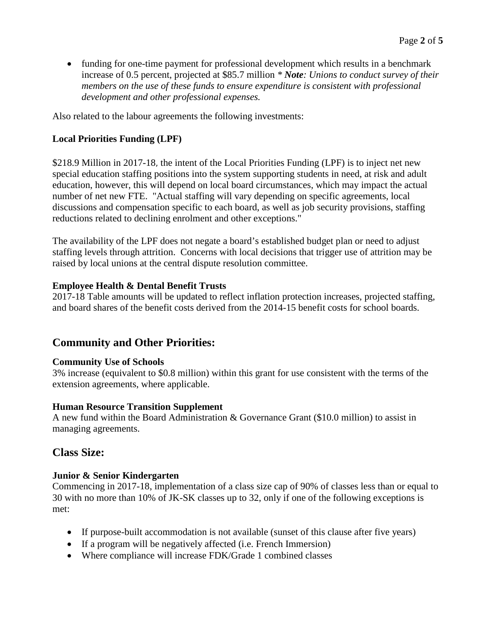• funding for one-time payment for professional development which results in a benchmark increase of 0.5 percent, projected at \$85.7 million *\* Note: Unions to conduct survey of their members on the use of these funds to ensure expenditure is consistent with professional development and other professional expenses.*

Also related to the labour agreements the following investments:

#### **Local Priorities Funding (LPF)**

\$218.9 Million in 2017-18, the intent of the Local Priorities Funding (LPF) is to inject net new special education staffing positions into the system supporting students in need, at risk and adult education, however, this will depend on local board circumstances, which may impact the actual number of net new FTE. "Actual staffing will vary depending on specific agreements, local discussions and compensation specific to each board, as well as job security provisions, staffing reductions related to declining enrolment and other exceptions."

The availability of the LPF does not negate a board's established budget plan or need to adjust staffing levels through attrition. Concerns with local decisions that trigger use of attrition may be raised by local unions at the central dispute resolution committee.

#### **Employee Health & Dental Benefit Trusts**

2017-18 Table amounts will be updated to reflect inflation protection increases, projected staffing, and board shares of the benefit costs derived from the 2014-15 benefit costs for school boards.

## **Community and Other Priorities:**

#### **Community Use of Schools**

3% increase (equivalent to \$0.8 million) within this grant for use consistent with the terms of the extension agreements, where applicable.

#### **Human Resource Transition Supplement**

A new fund within the Board Administration & Governance Grant (\$10.0 million) to assist in managing agreements.

## **Class Size:**

#### **Junior & Senior Kindergarten**

Commencing in 2017-18, implementation of a class size cap of 90% of classes less than or equal to 30 with no more than 10% of JK-SK classes up to 32, only if one of the following exceptions is met:

- If purpose-built accommodation is not available (sunset of this clause after five years)
- If a program will be negatively affected (i.e. French Immersion)
- Where compliance will increase FDK/Grade 1 combined classes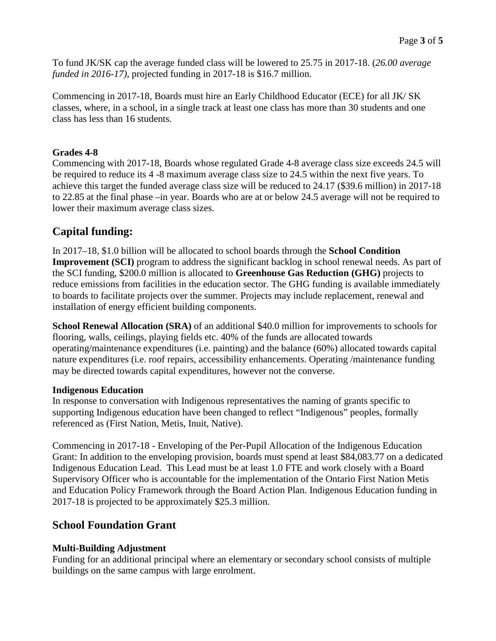To fund JK/SK cap the average funded class will be lowered to 25.75 in 2017-18. (*26.00 average funded in 2016-17)*, projected funding in 2017-18 is \$16.7 million.

Commencing in 2017-18, Boards must hire an Early Childhood Educator (ECE) for all JK/ SK classes, where, in a school, in a single track at least one class has more than 30 students and one class has less than 16 students.

### **Grades 4-8**

Commencing with 2017-18, Boards whose regulated Grade 4-8 average class size exceeds 24.5 will be required to reduce its 4 -8 maximum average class size to 24.5 within the next five years. To achieve this target the funded average class size will be reduced to 24.17 (\$39.6 million) in 2017-18 to 22.85 at the final phase –in year. Boards who are at or below 24.5 average will not be required to lower their maximum average class sizes.

# **Capital funding:**

In 2017–18, \$1.0 billion will be allocated to school boards through the **School Condition Improvement (SCI)** program to address the significant backlog in school renewal needs. As part of the SCI funding, \$200.0 million is allocated to **Greenhouse Gas Reduction (GHG)** projects to reduce emissions from facilities in the education sector. The GHG funding is available immediately to boards to facilitate projects over the summer. Projects may include replacement, renewal and installation of energy efficient building components.

**School Renewal Allocation (SRA)** of an additional \$40.0 million for improvements to schools for flooring, walls, ceilings, playing fields etc. 40% of the funds are allocated towards operating/maintenance expenditures (i.e. painting) and the balance (60%) allocated towards capital nature expenditures (i.e. roof repairs, accessibility enhancements. Operating /maintenance funding may be directed towards capital expenditures, however not the converse.

#### **Indigenous Education**

In response to conversation with Indigenous representatives the naming of grants specific to supporting Indigenous education have been changed to reflect "Indigenous" peoples, formally referenced as (First Nation, Metis, Inuit, Native).

Commencing in 2017-18 - Enveloping of the Per-Pupil Allocation of the Indigenous Education Grant: In addition to the enveloping provision, boards must spend at least \$84,083.77 on a dedicated Indigenous Education Lead. This Lead must be at least 1.0 FTE and work closely with a Board Supervisory Officer who is accountable for the implementation of the Ontario First Nation Metis and Education Policy Framework through the Board Action Plan. Indigenous Education funding in 2017-18 is projected to be approximately \$25.3 million.

## **School Foundation Grant**

## **Multi-Building Adjustment**

Funding for an additional principal where an elementary or secondary school consists of multiple buildings on the same campus with large enrolment.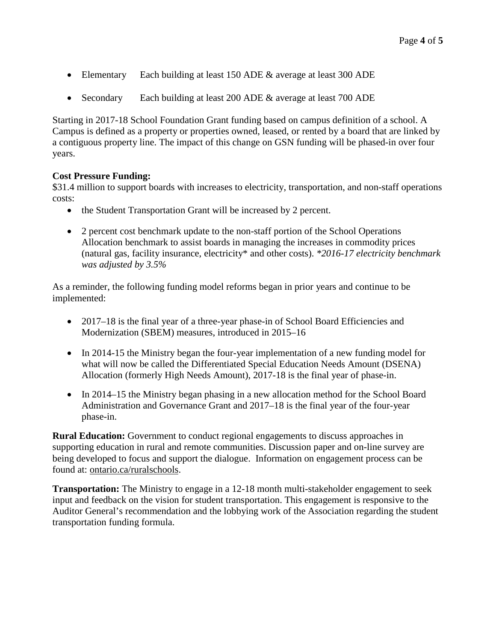- Elementary Each building at least 150 ADE & average at least 300 ADE
- Secondary Each building at least 200 ADE & average at least 700 ADE

Starting in 2017-18 School Foundation Grant funding based on campus definition of a school. A Campus is defined as a property or properties owned, leased, or rented by a board that are linked by a contiguous property line. The impact of this change on GSN funding will be phased-in over four years.

#### **Cost Pressure Funding:**

\$31.4 million to support boards with increases to electricity, transportation, and non-staff operations costs:

- the Student Transportation Grant will be increased by 2 percent.
- 2 percent cost benchmark update to the non-staff portion of the School Operations Allocation benchmark to assist boards in managing the increases in commodity prices (natural gas, facility insurance, electricity\* and other costs). *\*2016-17 electricity benchmark was adjusted by 3.5%*

As a reminder, the following funding model reforms began in prior years and continue to be implemented:

- 2017–18 is the final year of a three-year phase-in of School Board Efficiencies and Modernization (SBEM) measures, introduced in 2015–16
- In 2014-15 the Ministry began the four-year implementation of a new funding model for what will now be called the Differentiated Special Education Needs Amount (DSENA) Allocation (formerly High Needs Amount), 2017-18 is the final year of phase-in.
- In 2014–15 the Ministry began phasing in a new allocation method for the School Board Administration and Governance Grant and 2017–18 is the final year of the four-year phase-in.

**Rural Education:** Government to conduct regional engagements to discuss approaches in supporting education in rural and remote communities. Discussion paper and on-line survey are being developed to focus and support the dialogue. Information on engagement process can be found at: ontario.ca/ruralschools.

**Transportation:** The Ministry to engage in a 12-18 month multi-stakeholder engagement to seek input and feedback on the vision for student transportation. This engagement is responsive to the Auditor General's recommendation and the lobbying work of the Association regarding the student transportation funding formula.